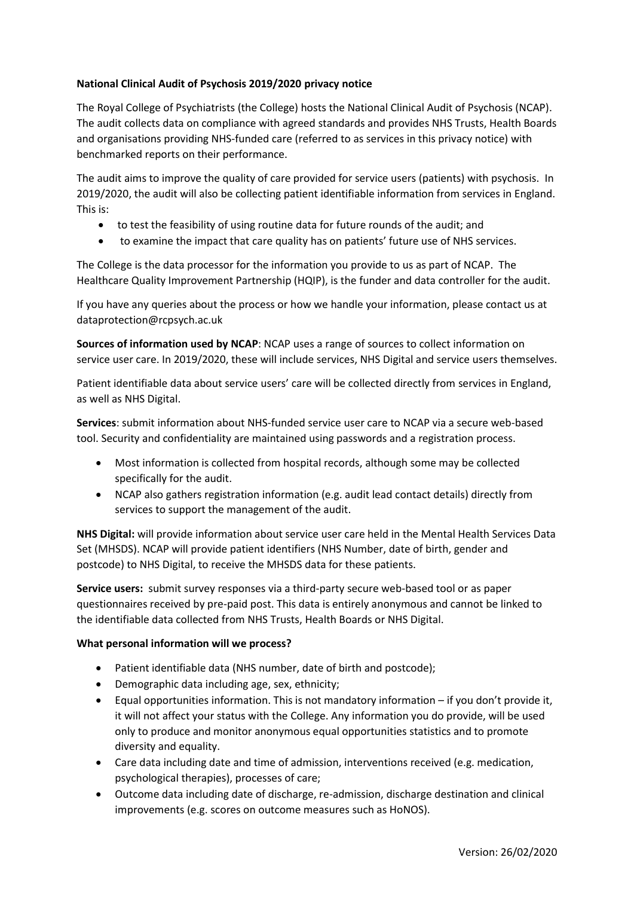# **National Clinical Audit of Psychosis 2019/2020 privacy notice**

The Royal College of Psychiatrists (the College) hosts the National Clinical Audit of Psychosis (NCAP). The audit collects data on compliance with agreed standards and provides NHS Trusts, Health Boards and organisations providing NHS-funded care (referred to as services in this privacy notice) with benchmarked reports on their performance.

The audit aims to improve the quality of care provided for service users (patients) with psychosis. In 2019/2020, the audit will also be collecting patient identifiable information from services in England. This is:

- to test the feasibility of using routine data for future rounds of the audit; and
- to examine the impact that care quality has on patients' future use of NHS services.

The College is the data processor for the information you provide to us as part of NCAP. The Healthcare Quality Improvement Partnership (HQIP), is the funder and data controller for the audit.

If you have any queries about the process or how we handle your information, please contact us at dataprotection@rcpsych.ac.uk

**Sources of information used by NCAP**: NCAP uses a range of sources to collect information on service user care. In 2019/2020, these will include services, NHS Digital and service users themselves.

Patient identifiable data about service users' care will be collected directly from services in England, as well as NHS Digital.

**Services**: submit information about NHS-funded service user care to NCAP via a secure web-based tool. Security and confidentiality are maintained using passwords and a registration process.

- Most information is collected from hospital records, although some may be collected specifically for the audit.
- NCAP also gathers registration information (e.g. audit lead contact details) directly from services to support the management of the audit.

**NHS Digital:** will provide information about service user care held in the Mental Health Services Data Set (MHSDS). NCAP will provide patient identifiers (NHS Number, date of birth, gender and postcode) to NHS Digital, to receive the MHSDS data for these patients.

**Service users:** submit survey responses via a third-party secure web-based tool or as paper questionnaires received by pre-paid post. This data is entirely anonymous and cannot be linked to the identifiable data collected from NHS Trusts, Health Boards or NHS Digital.

# **What personal information will we process?**

- Patient identifiable data (NHS number, date of birth and postcode);
- Demographic data including age, sex, ethnicity;
- Equal opportunities information. This is not mandatory information if you don't provide it, it will not affect your status with the College. Any information you do provide, will be used only to produce and monitor anonymous equal opportunities statistics and to promote diversity and equality.
- Care data including date and time of admission, interventions received (e.g. medication, psychological therapies), processes of care;
- Outcome data including date of discharge, re-admission, discharge destination and clinical improvements (e.g. scores on outcome measures such as HoNOS).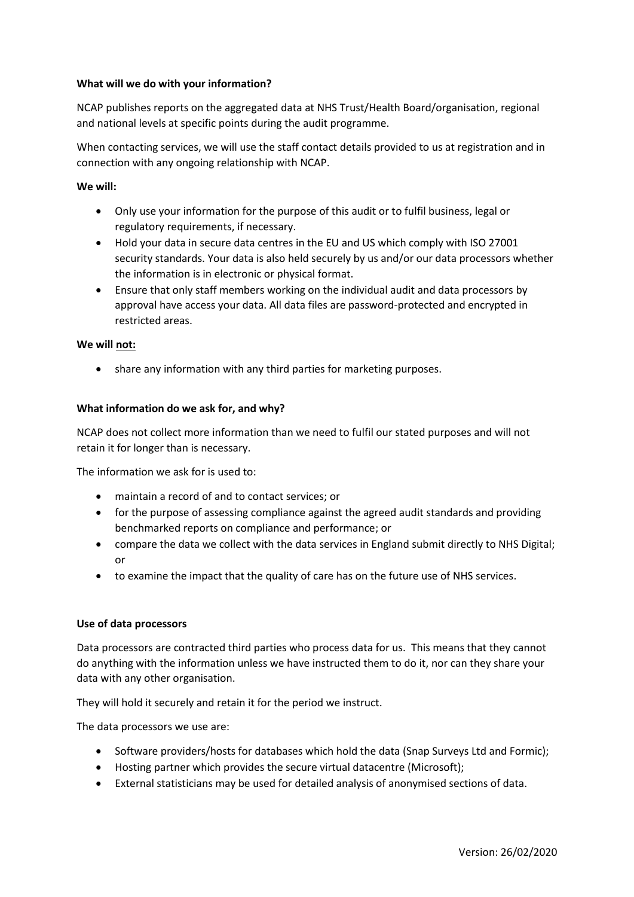## **What will we do with your information?**

NCAP publishes reports on the aggregated data at NHS Trust/Health Board/organisation, regional and national levels at specific points during the audit programme.

When contacting services, we will use the staff contact details provided to us at registration and in connection with any ongoing relationship with NCAP.

## **We will:**

- Only use your information for the purpose of this audit or to fulfil business, legal or regulatory requirements, if necessary.
- Hold your data in secure data centres in the EU and US which comply with ISO 27001 security standards. Your data is also held securely by us and/or our data processors whether the information is in electronic or physical format.
- Ensure that only staff members working on the individual audit and data processors by approval have access your data. All data files are password-protected and encrypted in restricted areas.

## **We will not:**

• share any information with any third parties for marketing purposes.

## **What information do we ask for, and why?**

NCAP does not collect more information than we need to fulfil our stated purposes and will not retain it for longer than is necessary.

The information we ask for is used to:

- maintain a record of and to contact services; or
- for the purpose of assessing compliance against the agreed audit standards and providing benchmarked reports on compliance and performance; or
- compare the data we collect with the data services in England submit directly to NHS Digital; or
- to examine the impact that the quality of care has on the future use of NHS services.

## **Use of data processors**

Data processors are contracted third parties who process data for us. This means that they cannot do anything with the information unless we have instructed them to do it, nor can they share your data with any other organisation.

They will hold it securely and retain it for the period we instruct.

The data processors we use are:

- Software providers/hosts for databases which hold the data (Snap Surveys Ltd and Formic);
- Hosting partner which provides the secure virtual datacentre (Microsoft);
- External statisticians may be used for detailed analysis of anonymised sections of data.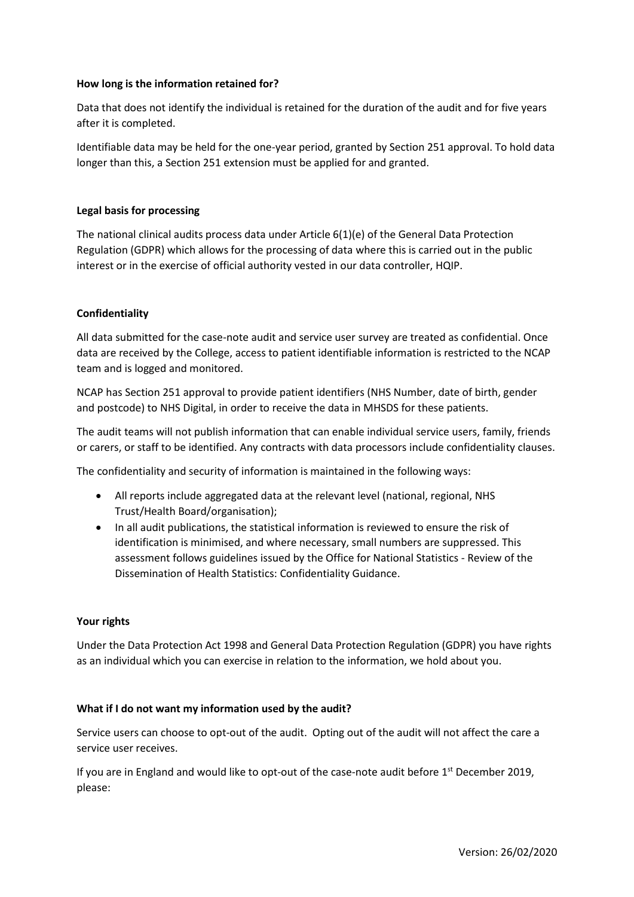## **How long is the information retained for?**

Data that does not identify the individual is retained for the duration of the audit and for five years after it is completed.

Identifiable data may be held for the one-year period, granted by Section 251 approval. To hold data longer than this, a Section 251 extension must be applied for and granted.

## **Legal basis for processing**

The national clinical audits process data under Article 6(1)(e) of the General Data Protection Regulation (GDPR) which allows for the processing of data where this is carried out in the public interest or in the exercise of official authority vested in our data controller, HQIP.

## **Confidentiality**

All data submitted for the case-note audit and service user survey are treated as confidential. Once data are received by the College, access to patient identifiable information is restricted to the NCAP team and is logged and monitored.

NCAP has Section 251 approval to provide patient identifiers (NHS Number, date of birth, gender and postcode) to NHS Digital, in order to receive the data in MHSDS for these patients.

The audit teams will not publish information that can enable individual service users, family, friends or carers, or staff to be identified. Any contracts with data processors include confidentiality clauses.

The confidentiality and security of information is maintained in the following ways:

- All reports include aggregated data at the relevant level (national, regional, NHS Trust/Health Board/organisation);
- In all audit publications, the statistical information is reviewed to ensure the risk of identification is minimised, and where necessary, small numbers are suppressed. This assessment follows guidelines issued by the Office for National Statistics - Review of the Dissemination of Health Statistics: Confidentiality Guidance.

## **Your rights**

Under the Data Protection Act 1998 and General Data Protection Regulation (GDPR) you have rights as an individual which you can exercise in relation to the information, we hold about you.

## **What if I do not want my information used by the audit?**

Service users can choose to opt-out of the audit. Opting out of the audit will not affect the care a service user receives.

If you are in England and would like to opt-out of the case-note audit before 1<sup>st</sup> December 2019, please: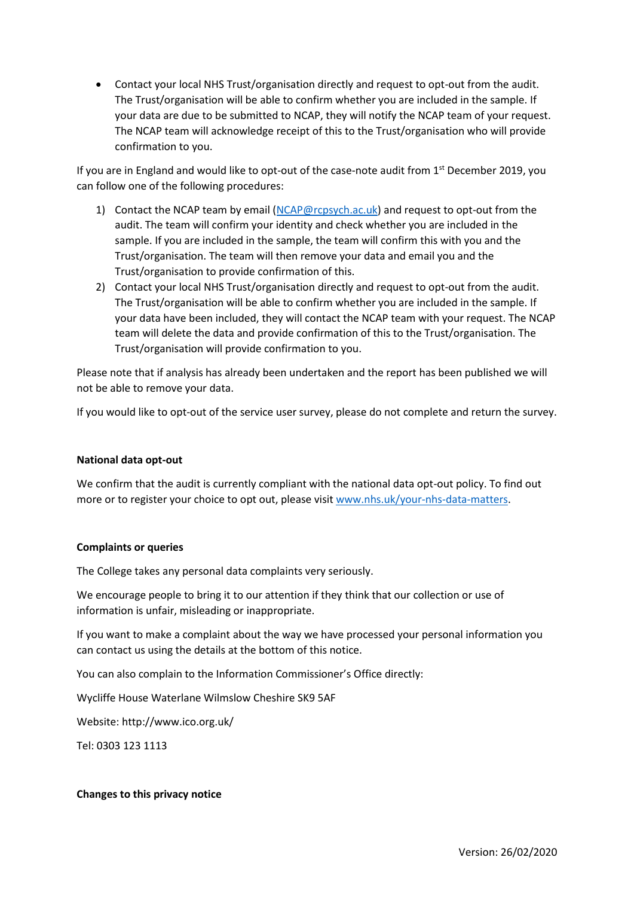• Contact your local NHS Trust/organisation directly and request to opt-out from the audit. The Trust/organisation will be able to confirm whether you are included in the sample. If your data are due to be submitted to NCAP, they will notify the NCAP team of your request. The NCAP team will acknowledge receipt of this to the Trust/organisation who will provide confirmation to you.

If you are in England and would like to opt-out of the case-note audit from  $1<sup>st</sup>$  December 2019, you can follow one of the following procedures:

- 1) Contact the NCAP team by email [\(NCAP@rcpsych.ac.uk\)](mailto:NCAP@rcpsych.ac.uk) and request to opt-out from the audit. The team will confirm your identity and check whether you are included in the sample. If you are included in the sample, the team will confirm this with you and the Trust/organisation. The team will then remove your data and email you and the Trust/organisation to provide confirmation of this.
- 2) Contact your local NHS Trust/organisation directly and request to opt-out from the audit. The Trust/organisation will be able to confirm whether you are included in the sample. If your data have been included, they will contact the NCAP team with your request. The NCAP team will delete the data and provide confirmation of this to the Trust/organisation. The Trust/organisation will provide confirmation to you.

Please note that if analysis has already been undertaken and the report has been published we will not be able to remove your data.

If you would like to opt-out of the service user survey, please do not complete and return the survey.

#### **National data opt-out**

We confirm that the audit is currently compliant with the national data opt-out policy. To find out more or to register your choice to opt out, please visi[t www.nhs.uk/your-nhs-data-matters.](http://www.nhs.uk/your-nhs-data-matters)

#### **Complaints or queries**

The College takes any personal data complaints very seriously.

We encourage people to bring it to our attention if they think that our collection or use of information is unfair, misleading or inappropriate.

If you want to make a complaint about the way we have processed your personal information you can contact us using the details at the bottom of this notice.

You can also complain to the Information Commissioner's Office directly:

Wycliffe House Waterlane Wilmslow Cheshire SK9 5AF

Website: http://www.ico.org.uk/

Tel: 0303 123 1113

#### **Changes to this privacy notice**